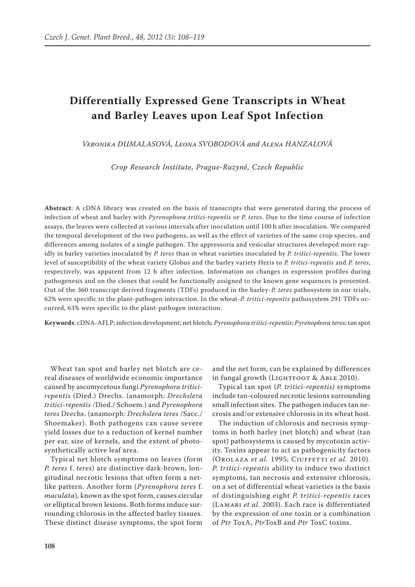# **Differentially Expressed Gene Transcripts in Wheat and Barley Leaves upon Leaf Spot Infection**

*Veronika DUMALASOVÁ, Leona SVOBODOVÁ and Alena HANZALOVÁ*

*Crop Research Institute, Prague-Ruzyně, Czech Republic*

**Abstract**: A cDNA library was created on the basis of transcripts that were generated during the process of infection of wheat and barley with *Pyrenophora tritici-repentis* or *P. teres*. Due to the time course of infection assays, the leaves were collected at various intervals after inoculation until 100 h after inoculation. We compared the temporal development of the two pathogens, as well as the effect of varieties of the same crop species, and differences among isolates of a single pathogen. The appressoria and vesicular structures developed more rapidly in barley varieties inoculated by *P. teres* than in wheat varieties inoculated by *P. tritici-repentis*. The lower level of susceptibility of the wheat variety Globus and the barley variety Heris to *P. tritici-repentis* and *P. teres*, respectively, was apparent from 12 h after infection. Information on changes in expression profiles during pathogenesis and on the clones that could be functionally assigned to the known gene sequences is presented. Out of the 360 transcript derived fragments (TDFs) produced in the barley-*P. teres* pathosystem in our trials, 62% were specific to the plant-pathogen interaction. In the wheat-*P. tritici-repentis* pathosystem 291 TDFs occurred, 63% were specific to the plant-pathogen interaction.

**Keywords**: cDNA-AFLP; infection development; net blotch; *Pyrenophora tritici-repentis*; *Pyrenophora teres*; tan spot

Wheat tan spot and barley net blotch are cereal diseases of worldwide economic importance caused by ascomycetous fungi *Pyrenophora triticirepentis* (Died.) Drechs. (anamorph: *Drechslera tritici-repentis* /Died./ Schoem.) and *Pyrenophora teres* Drechs. (anamorph: *Drechslera teres* /Sacc./ Shoemaker). Both pathogens can cause severe yield losses due to a reduction of kernel number per ear, size of kernels, and the extent of photosynthetically active leaf area.

Typical net blotch symptoms on leaves (form *P. teres* f. *teres*) are distinctive dark-brown, longitudinal necrotic lesions that often form a netlike pattern. Another form (*Pyrenophora teres* f. *maculata*), known as the spot form, causes circular or elliptical brown lesions. Both forms induce surrounding chlorosis in the affected barley tissues. These distinct disease symptoms, the spot form

and the net form, can be explained by differences in fungal growth (LIGHTFOOT & ABLE 2010).

Typical tan spot (*P. tritici-repentis)* symptoms include tan-coloured necrotic lesions surrounding small infection sites. The pathogen induces tan necrosis and/or extensive chlorosis in its wheat host.

The induction of chlorosis and necrosis symptoms in both barley (net blotch) and wheat (tan spot) pathosystems is caused by mycotoxin activity. Toxins appear to act as pathogenicity factors (Orolaza *et al.* 1995; Ciuffetti *et al.* 2010). *P. tritici-repentis* ability to induce two distinct symptoms, tan necrosis and extensive chlorosis, on a set of differential wheat varieties is the basis of distinguishing eight *P. tritici-repentis* races (Lamari *et al.* 2003). Each race is differentiated by the expression of one toxin or a combination of *Ptr* ToxA, *Ptr*ToxB and *Ptr* ToxC toxins.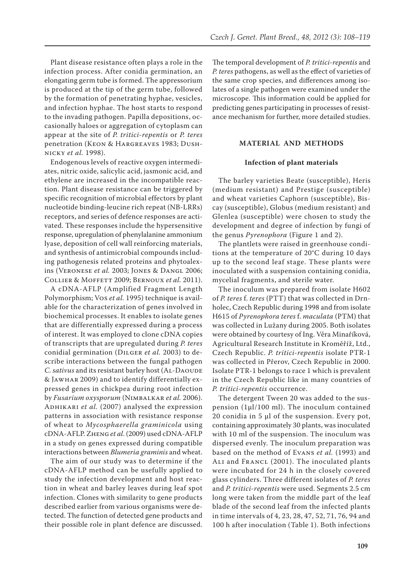Plant disease resistance often plays a role in the infection process. After conidia germination, an elongating germ tube is formed. The appressorium is produced at the tip of the germ tube, followed by the formation of penetrating hyphae, vesicles, and infection hyphae. The host starts to respond to the invading pathogen. Papilla depositions, occasionally haloes or aggregation of cytoplasm can appear at the site of *P. tritici-repentis* or *P. teres* penetration (Keon & Hargreaves 1983; Dushnicky *et al.* 1998).

Endogenous levels of reactive oxygen intermediates, nitric oxide, salicylic acid, jasmonic acid, and ethylene are increased in the incompatible reaction. Plant disease resistance can be triggered by specific recognition of microbial effectors by plant nucleotide binding-leucine rich repeat (NB-LRRs) receptors, and series of defence responses are activated. These responses include the hypersensitive response, upregulation of phenylalanine ammonium lyase, deposition of cell wall reinforcing materials, and synthesis of antimicrobial compounds including pathogenesis related proteins and phytoalexins (Veronese *et al.* 2003; Jones & Dangl 2006; Collier & Moffett 2009; Bernoux *et al.* 2011).

A cDNA-AFLP (Amplified Fragment Length Polymorphism; Vos *et al.* 1995) technique is available for the characterization of genes involved in biochemical processes. It enables to isolate genes that are differentially expressed during a process of interest. It was employed to clone cDNA copies of transcripts that are upregulated during *P. teres* conidial germination (Dilger *et al.* 2003) to describe interactions between the fungal pathogen *C. sativus* and its resistant barley host (AL-DAOUDE & Jawhar 2009) and to identify differentially expressed genes in chickpea during root infection by *Fusarium oxysporum* (Nimbalkar *et al.* 2006). ADHIKARI *et al.* (2007) analysed the expression patterns in association with resistance response of wheat to *Mycosphaerella graminicola* using cDNA-AFLP. Zheng *et al*. (2009) used cDNA-AFLP in a study on genes expressed during compatible interactions between *Blumeria graminis* and wheat.

The aim of our study was to determine if the cDNA-AFLP method can be usefully applied to study the infection development and host reaction in wheat and barley leaves during leaf spot infection. Clones with similarity to gene products described earlier from various organisms were detected. The function of detected gene products and their possible role in plant defence are discussed.

The temporal development of *P. tritici-repentis* and *P. teres* pathogens, as well as the effect of varieties of the same crop species, and differences among isolates of a single pathogen were examined under the microscope. This information could be applied for predicting genes participating in processes of resistance mechanism for further, more detailed studies.

# **MATERIAL AND METHODS**

#### **Infection of plant materials**

The barley varieties Beate (susceptible), Heris (medium resistant) and Prestige (susceptible) and wheat varieties Caphorn (susceptible), Biscay (susceptible), Globus (medium resistant) and Glenlea (susceptible) were chosen to study the development and degree of infection by fungi of the genus *Pyrenophora* (Figure 1 and 2).

The plantlets were raised in greenhouse conditions at the temperature of 20°C during 10 days up to the second leaf stage. These plants were inoculated with a suspension containing conidia, mycelial fragments, and sterile water.

The inoculum was prepared from isolate H602 of *P. teres* f. *teres* (PTT) that was collected in Drnholec, Czech Republic during 1998 and from isolate H615 of *Pyrenophora teres* f. *maculata* (PTM) that was collected in Lužany during 2005. Both isolates were obtained by courtesy of Ing. Věra Minaříková, Agricultural Research Institute in Kroměříž, Ltd., Czech Republic. *P. tritici-repentis* isolate PTR-1 was collected in Přerov, Czech Republic in 2000. Isolate PTR-1 belongs to race 1 which is prevalent in the Czech Republic like in many countries of *P. tritici-repentis* occurrence.

The detergent Tween 20 was added to the suspension (1μl/100 ml). The inoculum contained 20 conidia in 5 μl of the suspension. Every pot, containing approximately 30 plants, was inoculated with 10 ml of the suspension. The inoculum was dispersed evenly. The inoculum preparation was based on the method of Evans *et al.* (1993) and ALI and FRANCL (2001). The inoculated plants were incubated for 24 h in the closely covered glass cylinders. Three different isolates of *P. teres* and *P. tritici-repentis* were used. Segments 2.5 cm long were taken from the middle part of the leaf blade of the second leaf from the infected plants in time intervals of 4, 23, 28, 47, 52, 71, 76, 94 and 100 h after inoculation (Table 1). Both infections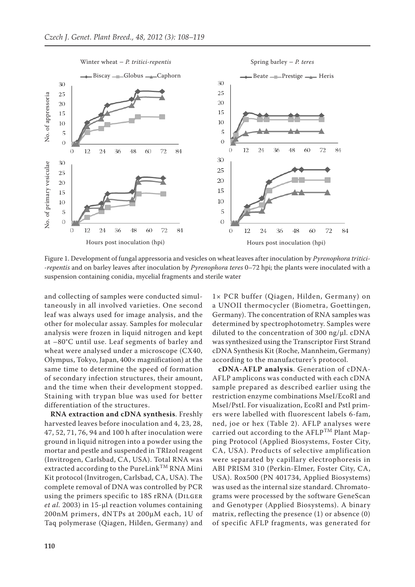

Figure 1. Development of fungal appressoria and vesicles on wheat leaves after inoculation by *Pyrenophora tritici- -repentis* and on barley leaves after inoculation by *Pyrenophora teres* 0–72 hpi; the plants were inoculated with a suspension containing conidia, mycelial fragments and sterile water

and collecting of samples were conducted simultaneously in all involved varieties. One second leaf was always used for image analysis, and the other for molecular assay. Samples for molecular analysis were frozen in liquid nitrogen and kept at –80°C until use. Leaf segments of barley and wheat were analysed under a microscope (CX40, Olympus, Tokyo, Japan, 400× magnification) at the same time to determine the speed of formation of secondary infection structures, their amount, and the time when their development stopped. Staining with trypan blue was used for better differentiation of the structures.

**RNA extraction and cDNA synthesis**. Freshly harvested leaves before inoculation and 4, 23, 28, 47, 52, 71, 76, 94 and 100 h after inoculation were ground in liquid nitrogen into a powder using the mortar and pestle and suspended in TRIzol reagent (Invitrogen, Carlsbad, CA, USA). Total RNA was extracted according to the  $\text{PureLink}^{\text{TM}}$  RNA Mini Kit protocol (Invitrogen, Carlsbad, CA, USA). The complete removal of DNA was controlled by PCR using the primers specific to 18S rRNA (Dilger *et al.* 2003) in 15-μl reaction volumes containing 200nM primers, dNTPs at 200μM each, 1U of Taq polymerase (Qiagen, Hilden, Germany) and

1× PCR buffer (Qiagen, Hilden, Germany) on a UNOII thermocycler (Biometra, Goettingen, Germany). The concentration of RNA samples was determined by spectrophotometry. Samples were diluted to the concentration of 300 ng/μl. cDNA was synthesized using the Transcriptor First Strand cDNA Synthesis Kit (Roche, Mannheim, Germany) according to the manufacturer's protocol.

**cDNA-AFLP analysis**. Generation of cDNA-AFLP amplicons was conducted with each cDNA sample prepared as described earlier using the restriction enzyme combinations MseI/EcoRI and MseI/PstI. For visualization, EcoRI and PstI primers were labelled with fluorescent labels 6-fam, ned, joe or hex (Table 2). AFLP analyses were carried out according to the  $AFLP^{TM}$  Plant Mapping Protocol (Applied Biosystems, Foster City, CA, USA). Products of selective amplification were separated by capillary electrophoresis in ABI PRISM 310 (Perkin-Elmer, Foster City, CA, USA). Rox500 (PN 401734, Applied Biosystems) was used as the internal size standard. Chromatograms were processed by the software GeneScan and Genotyper (Applied Biosystems). A binary matrix, reflecting the presence (1) or absence (0) of specific AFLP fragments, was generated for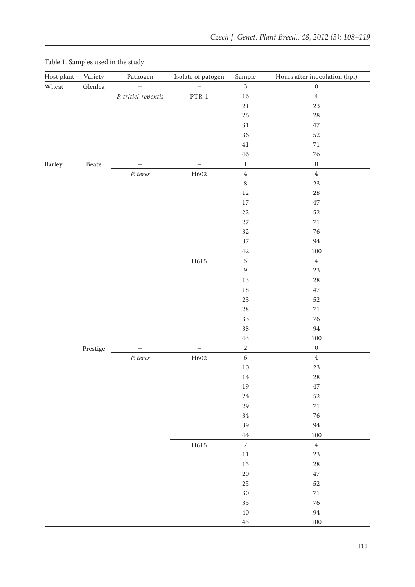| Host plant    | Variety          | Pathogen                 | Isolate of patogen       | Sample                   | Hours after inoculation (hpi) |
|---------------|------------------|--------------------------|--------------------------|--------------------------|-------------------------------|
| Wheat         | $\mbox{Glenlea}$ | $\qquad \qquad -$        | $\overline{\phantom{0}}$ | $\overline{3}$           | $\boldsymbol{0}$              |
|               |                  | P. tritici-repentis      | $\rm{PTR-1}$             | 16                       | $\boldsymbol{4}$              |
|               |                  |                          |                          | $21\,$                   | 23                            |
|               |                  |                          |                          | 26                       | 28                            |
|               |                  |                          |                          | $31\,$                   | 47                            |
|               |                  |                          |                          | 36                       | 52                            |
|               |                  |                          |                          | $41\,$                   | $71\,$                        |
|               |                  |                          |                          | $\!46\!$                 | 76                            |
| <b>Barley</b> | $\textbf{Beate}$ | $\overline{\phantom{0}}$ | $\qquad \qquad -$        | $\,1\,$                  | $\boldsymbol{0}$              |
|               |                  | $P.$ teres               | H602                     | $\bf 4$                  | $\bf 4$                       |
|               |                  |                          |                          | $\,8\,$                  | 23                            |
|               |                  |                          |                          | 12                       | 28                            |
|               |                  |                          |                          | 17                       | 47                            |
|               |                  |                          |                          | 22                       | 52                            |
|               |                  |                          |                          | 27                       | $71\,$                        |
|               |                  |                          |                          | 32                       | 76                            |
|               |                  |                          |                          | 37                       | $\rm 94$                      |
|               |                  |                          |                          | 42                       | $100\,$                       |
|               |                  |                          | H615                     | $\mathbf 5$              | $\bf 4$                       |
|               |                  |                          |                          | $\boldsymbol{9}$         | 23                            |
|               |                  |                          |                          | 13                       | 28                            |
|               |                  |                          |                          | 18                       | 47                            |
|               |                  |                          |                          | 23                       | 52                            |
|               |                  |                          |                          | $28\,$                   | $71\,$                        |
|               |                  |                          |                          | 33                       | 76                            |
|               |                  |                          |                          | 38                       | 94                            |
|               |                  |                          |                          | $43\,$                   | $100\,$                       |
|               | Prestige         | $\overline{\phantom{0}}$ | $\overline{\phantom{0}}$ | $\overline{2}$           | $\boldsymbol{0}$              |
|               |                  | $P.$ teres               | H602                     | $\sqrt{6}$               | $\bf 4$                       |
|               |                  |                          |                          | $10\,$                   | 23                            |
|               |                  |                          |                          | $14\,$                   | 28                            |
|               |                  |                          |                          | 19                       | 47                            |
|               |                  |                          |                          | $24\,$                   | 52                            |
|               |                  |                          |                          | 29                       | $71\,$                        |
|               |                  |                          |                          | 34                       | 76                            |
|               |                  |                          |                          | 39                       | $\rm 94$                      |
|               |                  |                          |                          | $\rm 44$                 | $100\,$                       |
|               |                  |                          | H615                     | $\overline{\phantom{a}}$ | $\bf 4$                       |
|               |                  |                          |                          | $11\,$                   | 23                            |
|               |                  |                          |                          | 15                       | $\sqrt{28}$                   |
|               |                  |                          |                          | $20\,$                   | $47\,$                        |
|               |                  |                          |                          | 25                       | 52                            |
|               |                  |                          |                          | $30\,$                   | $71\,$                        |
|               |                  |                          |                          | 35                       | 76                            |
|               |                  |                          |                          | $40\,$                   | $94\,$                        |
|               |                  |                          |                          | $45\,$                   | $100\,$                       |

# Table 1. Samples used in the study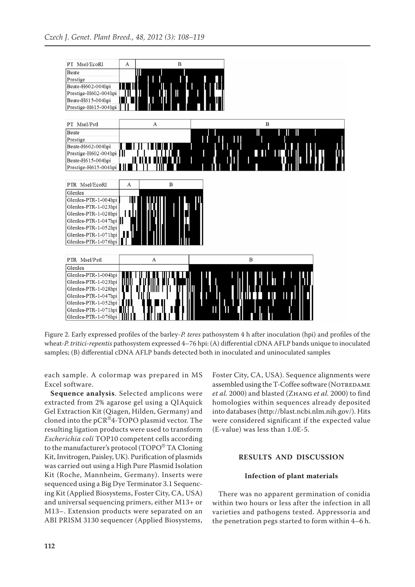

Figure 2. Early expressed profiles of the barley-*P. teres* pathosystem 4 h after inoculation (hpi) and profiles of the wheat-*P. tritici-repentis* pathosystem expressed 4–76 hpi: (A) differential cDNA AFLP bands unique to inoculated samples; (B) differential cDNA AFLP bands detected both in inoculated and uninoculated samples

each sample. A colormap was prepared in MS Excel software.

**Sequence analysis**. Selected amplicons were extracted from 2% agarose gel using a QIAquick Gel Extraction Kit (Qiagen, Hilden, Germany) and cloned into the pCR®4-TOPO plasmid vector. The resulting ligation products were used to transform *Escherichia coli* TOP10 competent cells according to the manufacturer's protocol (TOPO® TA Cloning Kit, Invitrogen, Paisley, UK). Purification of plasmids was carried out using a High Pure Plasmid Isolation Kit (Roche, Mannheim, Germany). Inserts were sequenced using a Big Dye Terminator 3.1 Sequencing Kit (Applied Biosystems, Foster City, CA, USA) and universal sequencing primers, either M13+ or M13–. Extension products were separated on an ABI PRISM 3130 sequencer (Applied Biosystems,

Foster City, CA, USA). Sequence alignments were assembled using the T-Coffee software (NOTREDAME *et al.* 2000) and blasted (Zhang *et al.* 2000) to find homologies within sequences already deposited into databases (http://blast.ncbi.nlm.nih.gov/). Hits were considered significant if the expected value (E-value) was less than 1.0E-5.

# **RESULTS AND DISCUSSION**

# **Infection of plant materials**

There was no apparent germination of conidia within two hours or less after the infection in all varieties and pathogens tested. Appressoria and the penetration pegs started to form within 4–6 h.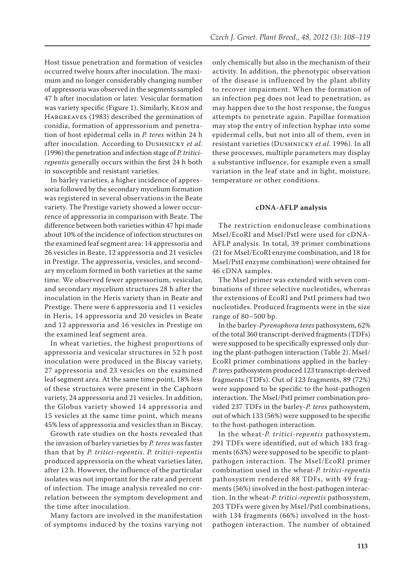Host tissue penetration and formation of vesicles occurred twelve hours after inoculation. The maximum and no longer considerably changing number of appressoria was observed in the segments sampled 47 h after inoculation or later. Vesicular formation was variety specific (Figure 1). Similarly, Keon and HARGREAVES (1983) described the germination of conidia, formation of appressorium and penetration of host epidermal cells in *P. teres* within 24 h after inoculation. According to Dushnicky *et al.* (1996) the penetration and infection stage of *P. triticirepentis* generally occurs within the first 24 h both in susceptible and resistant varieties.

In barley varieties, a higher incidence of appressoria followed by the secondary mycelium formation was registered in several observations in the Beate variety. The Prestige variety showed a lower occurrence of appressoria in comparison with Beate. The difference between both varieties within 47 hpi made about 10% of the incidence of infection structures on the examined leaf segment area: 14 appressoria and 26 vesicles in Beate, 12 appressoria and 21 vesicles in Prestige. The appressoria, vesicles, and secondary mycelium formed in both varieties at the same time. We observed fewer appressorium, vesicular, and secondary mycelium structures 28 h after the inoculation in the Heris variety than in Beate and Prestige. There were 6 appressoria and 11 vesicles in Heris, 14 appressoria and 20 vesicles in Beate and 12 appressoria and 16 vesicles in Prestige on the examined leaf segment area.

In wheat varieties, the highest proportions of appressoria and vesicular structures in 52 h post inoculation were produced in the Biscay variety, 27 appressoria and 23 vesicles on the examined leaf segment area. At the same time point, 18% less of these structures were present in the Caphorn variety, 24 appressoria and 21 vesicles. In addition, the Globus variety showed 14 appressoria and 15 vesicles at the same time point, which means 45% less of appressoria and vesicles than in Biscay.

Growth rate studies on the hosts revealed that the invasion of barley varieties by *P. teres* was faster than that by *P. tritici-repentis*. *P. tritici-repentis* produced appressoria on the wheat varieties later, after 12 h. However, the influence of the particular isolates was not important for the rate and percent of infection. The image analysis revealed no correlation between the symptom development and the time after inoculation.

Many factors are involved in the manifestation of symptoms induced by the toxins varying not

only chemically but also in the mechanism of their activity. In addition, the phenotypic observation of the disease is influenced by the plant ability to recover impairment. When the formation of an infection peg does not lead to penetration, as may happen due to the host response, the fungus attempts to penetrate again. Papillae formation may stop the entry of infection hyphae into some epidermal cells, but not into all of them, even in resistant varieties (Dushnicky *et al.* 1996). In all these processes, multiple parameters may display a substantive influence, for example even a small variation in the leaf state and in light, moisture, temperature or other conditions.

#### **cDNA-AFLP analysis**

The restriction endonuclease combinations MseI/EcoRI and MseI/PstI were used for cDNA-AFLP analysis. In total, 39 primer combinations (21 for MseI/EcoRI enzyme combination, and 18 for MseI/PstI enzyme combination) were obtained for 46 cDNA samples.

The MseI primer was extended with seven combinations of three selective nucleotides, whereas the extensions of EcoRI and PstI primers had two nucleotides. Produced fragments were in the size range of 80–500 bp.

In the barley-*Pyrenophora teres* pathosystem, 62% of the total 360 transcript-derived fragments (TDFs) were supposed to be specifically expressed only during the plant-pathogen interaction (Table 2). MseI/ EcoRI primer combinations applied in the barley-*P. teres* pathosystem produced 123 transcript-derived fragments (TDFs). Out of 123 fragments, 89 (72%) were supposed to be specific to the host-pathogen interaction. The MseI/PstI primer combination provided 237 TDFs in the barley-*P. teres* pathosystem, out of which 133 (56%) were supposed to be specific to the host-pathogen interaction.

In the wheat-*P. tritici-repentis* pathosystem, 291 TDFs were identified, out of which 183 fragments (63%) were supposed to be specific to plantpathogen interaction. The MseI/EcoRI primer combination used in the wheat-*P. tritici-repentis*  pathosystem rendered 88 TDFs, with 49 fragments (56%) involved in the host-pathogen interaction. In the wheat-*P. tritici-repentis* pathosystem, 203 TDFs were given by MseI/PstI combinations, with 134 fragments (66%) involved in the hostpathogen interaction. The number of obtained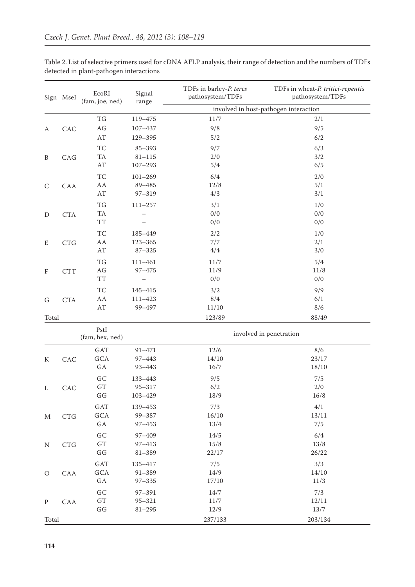|                           | Sign MseI                   | EcoRI<br>(fam, joe, ned) | Signal<br>range | TDFs in barley-P. teres<br>pathosystem/TDFs | TDFs in wheat-P. tritici-repentis<br>pathosystem/TDFs |
|---------------------------|-----------------------------|--------------------------|-----------------|---------------------------------------------|-------------------------------------------------------|
|                           |                             |                          |                 |                                             | involved in host-pathogen interaction                 |
|                           |                             | $\mathcal{T}G$           | 119-475         | $11/7$                                      | 2/1                                                   |
| A                         | CAC                         | $\rm{AG}$                | $107 - 437$     | 9/8                                         | 9/5                                                   |
|                           |                             | $\mathbf{A} \mathbf{T}$  | 129-395         | 5/2                                         | 6/2                                                   |
|                           |                             | TC                       | $85 - 393$      | 9/7                                         | 6/3                                                   |
| B                         | CAG                         | TA                       | $81 - 115$      | $2/0$                                       | 3/2                                                   |
|                           |                             | $\mathbf{A}\mathbf{T}$   | $107 - 293$     | $5/4\,$                                     | 6/5                                                   |
|                           |                             | TC                       | $101 - 269$     | 6/4                                         | 2/0                                                   |
| $\mathsf{C}$              | CAA                         | AA                       | 89-485          | 12/8                                        | 5/1                                                   |
|                           |                             | $\mathbf{A}\mathbf{T}$   | $97 - 319$      | 4/3                                         | 3/1                                                   |
|                           |                             | TG                       | $111 - 257$     | 3/1                                         | 1/0                                                   |
| D                         | CTA                         | TA                       |                 | 0/0                                         | 0/0                                                   |
|                           |                             | <b>TT</b>                |                 | 0/0                                         | $0/0$                                                 |
|                           |                             | TC                       | 185-449         | $2/2$                                       | 1/0                                                   |
| E                         | CTG                         | AA                       | $123 - 365$     | 7/7                                         | 2/1                                                   |
|                           |                             | AT                       | $87 - 325$      | 4/4                                         | 3/0                                                   |
|                           |                             | $\mathcal{T}G$           | $111 - 461$     | 11/7                                        | 5/4                                                   |
| $\boldsymbol{\mathrm{F}}$ | <b>CTT</b>                  | $\rm{AG}$                | $97 - 475$      | 11/9                                        | 11/8                                                  |
|                           |                             | <b>TT</b>                |                 | 0/0                                         | 0/0                                                   |
|                           |                             | TC                       | $145 - 415$     | 3/2                                         | 9/9                                                   |
| G                         | <b>CTA</b>                  | AA                       | $111 - 423$     | 8/4                                         | 6/1                                                   |
|                           |                             | $\mathbf{A}\mathbf{T}$   | 99-497          | 11/10                                       | 8/6                                                   |
| Total                     |                             |                          |                 | 123/89                                      | 88/49                                                 |
|                           |                             | PstI                     |                 |                                             |                                                       |
|                           |                             | (fam, hex, ned)          |                 | involved in penetration                     |                                                       |
|                           |                             | <b>GAT</b>               | $91 - 471$      | $12/6$                                      | $8/6$                                                 |
| ${\bf K}$                 | CAC                         | $_{\mathrm{GCA}}$        | $97 - 443$      | 14/10                                       | 23/17                                                 |
|                           |                             | GA                       | $93 - 443$      | 16/7                                        | 18/10                                                 |
|                           |                             | GC                       | 133-443         | 9/5                                         | 7/5                                                   |
|                           | CAC                         | ${\rm GT}$               | $95 - 317$      | 6/2                                         | 2/0                                                   |
| L                         |                             | $\mathbb{G}\mathbb{G}$   | $103 - 429$     | $18/9$                                      | $16/8$                                                |
|                           |                             | GAT                      | 139-453         | $7/3$                                       | $4/1\,$                                               |
| M                         | $\ensuremath{\mathsf{CTG}}$ | $_{\mathrm{GCA}}$        | 99-387          | 16/10                                       | 13/11                                                 |
|                           |                             | GA                       | $97 - 453$      | 13/4                                        | 7/5                                                   |
|                           |                             | $\mathcal{G}\mathcal{C}$ | $97 - 409$      | 14/5                                        | 6/4                                                   |
| N                         | $\ensuremath{\mathsf{CTG}}$ | $\operatorname{GT}$      | $97 - 413$      | $15/8$                                      | 13/8                                                  |
|                           |                             | $\mathbb{G}\mathbb{G}$   | $81 - 389$      | 22/17                                       | 26/22                                                 |
|                           |                             | <b>GAT</b>               | 135-417         | 7/5                                         | 3/3                                                   |
| $\circ$                   | CAA                         | $_{\mathrm{GCA}}$        | $91 - 389$      | 14/9                                        | 14/10                                                 |
|                           |                             | GA                       | $97 - 335$      | 17/10                                       | 11/3                                                  |
|                           |                             | $\operatorname{GC}$      | $97 - 391$      | 14/7                                        | 7/3                                                   |
| ${\bf P}$                 | ${\rm CAR}$                 | ${\rm GT}$               | $95 - 321$      | 11/7                                        | 12/11                                                 |
|                           |                             | $\mathbb{G}\mathbb{G}$   | $81 - 295$      | 12/9                                        | $13/7\,$                                              |
| Total                     |                             |                          |                 | 237/133                                     | 203/134                                               |

Table 2. List of selective primers used for cDNA AFLP analysis, their range of detection and the numbers of TDFs detected in plant-pathogen interactions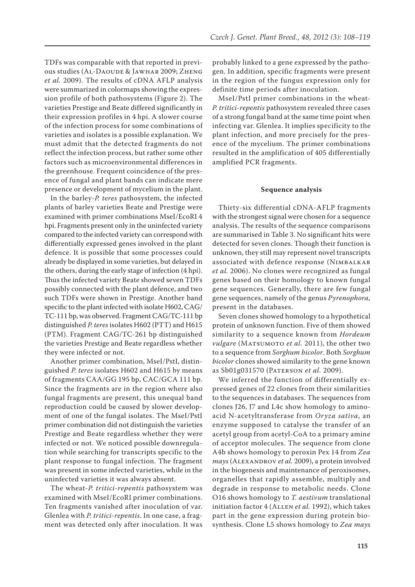TDFs was comparable with that reported in previous studies (AL-DAOUDE & JAWHAR 2009; ZHENG *et al.* 2009). The results of cDNA AFLP analysis were summarized in colormaps showing the expression profile of both pathosystems (Figure 2). The varieties Prestige and Beate differed significantly in their expression profiles in 4 hpi. A slower course of the infection process for some combinations of varieties and isolates is a possible explanation. We must admit that the detected fragments do not reflect the infection process, but rather some other factors such as microenvironmental differences in the greenhouse. Frequent coincidence of the presence of fungal and plant bands can indicate mere presence or development of mycelium in the plant.

In the barley-*P. teres* pathosystem, the infected plants of barley varieties Beate and Prestige were examined with primer combinations MseI/EcoRI 4 hpi. Fragments present only in the uninfected variety compared to the infected variety can correspond with differentially expressed genes involved in the plant defence. It is possible that some processes could already be displayed in some varieties, but delayed in the others, during the early stage of infection (4 hpi). Thus the infected variety Beate showed seven TDFs possibly connected with the plant defence, and two such TDFs were shown in Prestige. Another band specific to the plant infected with isolate H602, CAG/ TC-111 bp, was observed. Fragment CAG/TC-111 bp distinguished *P. teres* isolates H602 (PTT) and H615 (PTM). Fragment CAG/TC-261 bp distinguished the varieties Prestige and Beate regardless whether they were infected or not.

Another primer combination, MseI/PstI, distinguished *P. teres* isolates H602 and H615 by means of fragments CAA/GG 195 bp, CAC/GCA 111 bp. Since the fragments are in the region where also fungal fragments are present, this unequal band reproduction could be caused by slower development of one of the fungal isolates. The MseI/PstI primer combination did not distinguish the varieties Prestige and Beate regardless whether they were infected or not. We noticed possible downregulation while searching for transcripts specific to the plant response to fungal infection. The fragment was present in some infected varieties, while in the uninfected varieties it was always absent.

The wheat-*P. tritici-repentis* pathosystem was examined with MseI/EcoRI primer combinations. Ten fragments vanished after inoculation of var. Glenlea with *P. tritici-repentis*. In one case, a fragment was detected only after inoculation. It was

probably linked to a gene expressed by the pathogen. In addition, specific fragments were present in the region of the fungus expression only for definite time periods after inoculation.

MseI/PstI primer combinations in the wheat-*P. tritici-repentis* pathosystem revealed three cases of a strong fungal band at the same time point when infecting var. Glenlea. It implies specificity to the plant infection, and more precisely for the presence of the mycelium. The primer combinations resulted in the amplification of 405 differentially amplified PCR fragments.

#### **Sequence analysis**

Thirty-six differential cDNA-AFLP fragments with the strongest signal were chosen for a sequence analysis. The results of the sequence comparisons are summarised in Table 3. No significant hits were detected for seven clones. Though their function is unknown, they still may represent novel transcripts associated with defence response (Nimbalkar *et al.* 2006). No clones were recognized as fungal genes based on their homology to known fungal gene sequences. Generally, there are few fungal gene sequences, namely of the genus *Pyrenophora,* present in the databases.

Seven clones showed homology to a hypothetical protein of unknown function. Five of them showed similarity to a sequence known from *Hordeum vulgare* (MATSUMOTO *et al.* 2011), the other two to a sequence from *Sorghum bicolor*. Both *Sorghum bicolor* clones showed similarity to the gene known as Sb01g031570 (Paterson *et al.* 2009).

We inferred the function of differentially expressed genes of 22 clones from their similarities to the sequences in databases. The sequences from clones J26, J7 and L4c show homology to aminoacid N-acetyltransferase from *Oryza sativa*, an enzyme supposed to catalyse the transfer of an acetyl group from acetyl-CoA to a primary amine of acceptor molecules. The sequence from clone A4b shows homology to peroxin Pex 14 from *Zea mays* (ALEXANDROV *et al.* 2009), a protein involved in the biogenesis and maintenance of peroxisomes, organelles that rapidly assemble, multiply and degrade in response to metabolic needs. Clone O16 shows homology to *T. aestivum* translational initiation factor 4 (Allen *et al.* 1992), which takes part in the gene expression during protein biosynthesis. Clone L5 shows homology to *Zea mays*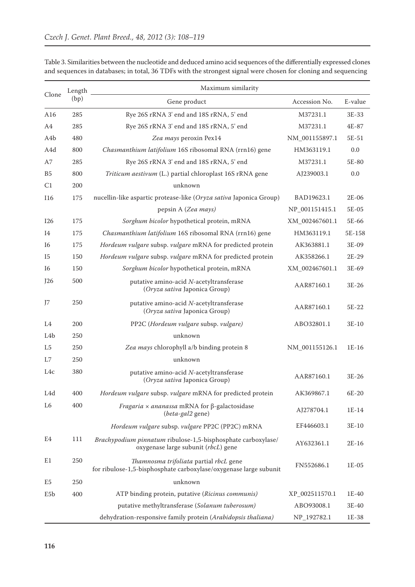| Clone            | Length<br>(bp) | Maximum similarity                                                                                          |                |         |  |  |  |
|------------------|----------------|-------------------------------------------------------------------------------------------------------------|----------------|---------|--|--|--|
|                  |                | Gene product                                                                                                | Accession No.  | E-value |  |  |  |
| A16              | 285            | Rye 26S rRNA 3' end and 18S rRNA, 5' end                                                                    | M37231.1       | 3E-33   |  |  |  |
| A <sub>4</sub>   | 285            | Rye 26S rRNA 3' end and 18S rRNA, 5' end                                                                    | M37231.1       | 4E-87   |  |  |  |
| A <sub>4</sub> b | 480            | Zea mays peroxin Pex14                                                                                      | NM_001155897.1 | 5E-51   |  |  |  |
| A4d              | 800            | Chasmanthium latifolium 16S ribosomal RNA (rrn16) gene                                                      | HM363119.1     | 0.0     |  |  |  |
| A7               | 285            | Rye 26S rRNA 3' end and 18S rRNA, 5' end                                                                    | M37231.1       | 5E-80   |  |  |  |
| B <sub>5</sub>   | 800            | Triticum aestivum (L.) partial chloroplast 16S rRNA gene                                                    | AJ239003.1     | 0.0     |  |  |  |
| C1               | 200            | unknown                                                                                                     |                |         |  |  |  |
| <b>I16</b>       | 175            | nucellin-like aspartic protease-like (Oryza sativa Japonica Group)                                          | BAD19623.1     | $2E-06$ |  |  |  |
|                  |                | pepsin A (Zea mays)                                                                                         | NP_001151415.1 | 5E-05   |  |  |  |
| I26              | 175            | Sorghum bicolor hypothetical protein, mRNA                                                                  | XM_002467601.1 | 5E-66   |  |  |  |
| 14               | 175            | Chasmanthium latifolium 16S ribosomal RNA (rrn16) gene                                                      | HM363119.1     | 5E-158  |  |  |  |
| I6               | 175            | Hordeum vulgare subsp. vulgare mRNA for predicted protein                                                   | AK363881.1     | 3E-09   |  |  |  |
| 15               | 150            | Hordeum vulgare subsp. vulgare mRNA for predicted protein                                                   | AK358266.1     | $2E-29$ |  |  |  |
| I6               | 150            | Sorghum bicolor hypothetical protein, mRNA                                                                  | XM_002467601.1 | 3E-69   |  |  |  |
| J26              | 500            | putative amino-acid N-acetyltransferase<br>(Oryza sativa Japonica Group)                                    | AAR87160.1     | $3E-26$ |  |  |  |
| J7               | 250            | putative amino-acid N-acetyltransferase<br>(Oryza sativa Japonica Group)                                    | AAR87160.1     | 5E-22   |  |  |  |
| L <sub>4</sub>   | 200            | PP2C (Hordeum vulgare subsp. vulgare)                                                                       | ABO32801.1     | $3E-10$ |  |  |  |
| L <sub>4</sub> b | 250            | unknown                                                                                                     |                |         |  |  |  |
| L <sub>5</sub>   | 250            | Zea mays chlorophyll a/b binding protein 8                                                                  | NM_001155126.1 | $1E-16$ |  |  |  |
| L7               | 250            | unknown                                                                                                     |                |         |  |  |  |
| L4c              | 380            | putative amino-acid N-acetyltransferase<br>(Oryza sativa Japonica Group)                                    | AAR87160.1     | $3E-26$ |  |  |  |
| L4d              | 400            | Hordeum vulgare subsp. vulgare mRNA for predicted protein                                                   | AK369867.1     | 6E-20   |  |  |  |
| L <sub>6</sub>   | 400            | <i>Fragaria <math>\times</math> ananassa</i> mRNA for $\beta$ -galactosidase<br>(beta-gal2 gene)            | AJ278704.1     | $1E-14$ |  |  |  |
|                  |                | Hordeum vulgare subsp. vulgare PP2C (PP2C) mRNA                                                             | EF446603.1     | $3E-10$ |  |  |  |
| E4               | 111            | Brachypodium pinnatum ribulose-1,5-bisphosphate carboxylase/<br>oxygenase large subunit (rbcL) gene         | AY632361.1     | $2E-16$ |  |  |  |
| E1               | 250            | Thamnosma trifoliata partial rbcL gene<br>for ribulose-1,5-bisphosphate carboxylase/oxygenase large subunit | FN552686.1     | 1E-05   |  |  |  |
| E <sub>5</sub>   | 250            | unknown                                                                                                     |                |         |  |  |  |
| E <sub>5</sub> b | 400            | ATP binding protein, putative (Ricinus communis)                                                            | XP_002511570.1 | 1E-40   |  |  |  |
|                  |                | putative methyltransferase (Solanum tuberosum)                                                              | ABO93008.1     | 3E-40   |  |  |  |
|                  |                | dehydration-responsive family protein (Arabidopsis thaliana)                                                | NP_192782.1    | 1E-38   |  |  |  |

Table 3. Similarities between the nucleotide and deduced amino acid sequences of the differentially expressed clones and sequences in databases; in total, 36 TDFs with the strongest signal were chosen for cloning and sequencing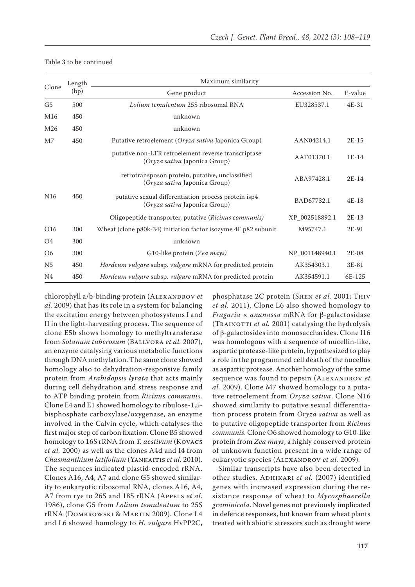| Clone           | Length | Maximum similarity                                                                    |                |         |  |  |  |
|-----------------|--------|---------------------------------------------------------------------------------------|----------------|---------|--|--|--|
|                 | (bp)   | Gene product                                                                          | Accession No.  | E-value |  |  |  |
| G <sub>5</sub>  | 500    | Lolium temulentum 25S ribosomal RNA                                                   | EU328537.1     | $4E-31$ |  |  |  |
| M <sub>16</sub> | 450    | unknown                                                                               |                |         |  |  |  |
| M <sub>26</sub> | 450    | unknown                                                                               |                |         |  |  |  |
| M <sub>7</sub>  | 450    | Putative retroelement (Oryza sativa Japonica Group)                                   | AAN04214.1     | $2E-15$ |  |  |  |
|                 |        | putative non-LTR retroelement reverse transcriptase<br>(Oryza sativa Japonica Group)  | AAT01370.1     | $1E-14$ |  |  |  |
|                 |        | retrotransposon protein, putative, unclassified<br>(Oryza sativa Japonica Group)      | ABA97428.1     | $2E-14$ |  |  |  |
| N <sub>16</sub> | 450    | putative sexual differentiation process protein isp4<br>(Oryza sativa Japonica Group) | BAD67732.1     | $4E-18$ |  |  |  |
|                 |        | Oligopeptide transporter, putative (Ricinus communis)                                 | XP_002518892.1 | $2E-13$ |  |  |  |
| O16             | 300    | Wheat (clone p80k-34) initiation factor isozyme 4F p82 subunit                        | M95747.1       | 2E-91   |  |  |  |
| O <sub>4</sub>  | 300    | unknown                                                                               |                |         |  |  |  |
| O <sub>6</sub>  | 300    | G10-like protein (Zea mays)                                                           | NP_001148940.1 | $2E-08$ |  |  |  |
| N <sub>5</sub>  | 450    | Hordeum vulgare subsp. vulgare mRNA for predicted protein                             | AK354303.1     | 3E-81   |  |  |  |
| N <sub>4</sub>  | 450    | Hordeum vulgare subsp. vulgare mRNA for predicted protein                             | AK354591.1     | 6E-125  |  |  |  |

#### Table 3 to be continued

chlorophyll a/b-binding protein (ALEXANDROV et *al.* 2009) that has its role in a system for balancing the excitation energy between photosystems I and II in the light-harvesting process. The sequence of clone E5b shows homology to methyltransferase from *Solanum tuberosum* (BALLVORA et al. 2007), an enzyme catalysing various metabolic functions through DNA methylation. The same clone showed homology also to dehydration-responsive family protein from *Arabidopsis lyrata* that acts mainly during cell dehydration and stress response and to ATP binding protein from *Ricinus communis.* Clone E4 and E1 showed homology to ribulose-1,5 bisphosphate carboxylase/oxygenase, an enzyme involved in the Calvin cycle, which catalyses the first major step of carbon fixation. Clone B5 showed homology to 16S rRNA from *T. aestivum* (Kovacs *et al.* 2000) as well as the clones A4d and I4 from *Chasmanthium latifolium* (YANKAITIS *et al.* 2010). The sequences indicated plastid-encoded rRNA. Clones A16, A4, A7 and clone G5 showed similarity to eukaryotic ribosomal RNA, clones A16, A4, A7 from rye to 26S and 18S rRNA (Appels *et al.* 1986), clone G5 from *Lolium temulentum* to 25S rRNA (Dombrowski & Martin 2009). Clone L4 and L6 showed homology to *H. vulgare* HvPP2C,

phosphatase 2C protein (Shen *et al.* 2001; Thiv *et al.* 2011). Clone L6 also showed homology to *Fragaria* × *ananassa* mRNA for β-galactosidase (TRAINOTTI et al. 2001) catalysing the hydrolysis of β-galactosides into monosaccharides. Clone I16 was homologous with a sequence of nucellin-like, aspartic protease-like protein, hypothesized to play a role in the programmed cell death of the nucellus as aspartic protease. Another homology of the same sequence was found to pepsin (ALEXANDROV et *al.* 2009). Clone M7 showed homology to a putative retroelement from *Oryza sativa*. Clone N16 showed similarity to putative sexual differentiation process protein from *Oryza sativa* as well as to putative oligopeptide transporter from *Ricinus communis*. Clone O6 showed homology to G10-like protein from *Zea mays*, a highly conserved protein of unknown function present in a wide range of eukaryotic species (Alexandrov *et al.* 2009)*.* 

Similar transcripts have also been detected in other studies. ADHIKARI et al. (2007) identified genes with increased expression during the resistance response of wheat to *Mycosphaerella graminicola*. Novel genes not previously implicated in defence responses, but known from wheat plants treated with abiotic stressors such as drought were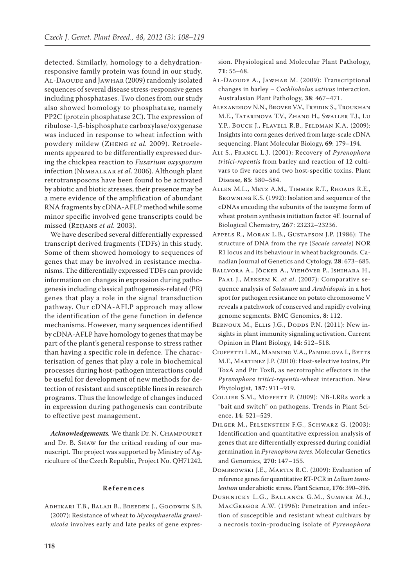detected. Similarly, homology to a dehydrationresponsive family protein was found in our study. Al-Daoude and Jawhar (2009) randomly isolated sequences of several disease stress-responsive genes including phosphatases. Two clones from our study also showed homology to phosphatase, namely PP2C (protein phosphatase 2C). The expression of ribulose-1,5-bisphosphate carboxylase/oxygenase was induced in response to wheat infection with powdery mildew (Zheng *et al.* 2009). Retroelements appeared to be differentially expressed during the chickpea reaction to *Fusarium oxysporum* infection (Nimbalkar *et al.* 2006). Although plant retrotransposons have been found to be activated by abiotic and biotic stresses, their presence may be a mere evidence of the amplification of abundant RNA fragments by cDNA-AFLP method while some minor specific involved gene transcripts could be missed (Reijans *et al.* 2003).

We have described several differentially expressed transcript derived fragments (TDFs) in this study. Some of them showed homology to sequences of genes that may be involved in resistance mechanisms. The differentially expressed TDFs can provide information on changes in expression during pathogenesis including classical pathogenesis-related (PR) genes that play a role in the signal transduction pathway. Our cDNA-AFLP approach may allow the identification of the gene function in defence mechanisms. However, many sequences identified by cDNA-AFLP have homology to genes that may be part of the plant's general response to stress rather than having a specific role in defence. The characterisation of genes that play a role in biochemical processes during host-pathogen interactions could be useful for development of new methods for detection of resistant and susceptible lines in research programs. Thus the knowledge of changes induced in expression during pathogenesis can contribute to effective pest management.

Acknowledgements. We thank Dr. N. CHAMPOURET and Dr. B. Shaw for the critical reading of our manuscript. The project was supported by Ministry of Agriculture of the Czech Republic, Project No. QH71242.

#### **References**

Adhikari T.B., Balaji B., Breeden J., Goodwin S.B. (2007): Resistance of wheat to *Mycosphaerella graminicola* involves early and late peaks of gene expression. Physiological and Molecular Plant Pathology, **71**: 55–68.

- Al-Daoude A., Jawhar M. (2009): Transcriptional changes in barley – *Cochliobolus sativus* interaction. Australasian Plant Pathology, **38**: 467–471.
- Alexandrov N.N., Brover V.V., Freidin S., Troukhan M.E., Tatarinova T.V., Zhang H., Swaller T.J., Lu Y.P., Bouck J., Flavell R.B., Feldman K.A. (2009): Insights into corn genes derived from large-scale cDNA sequencing. Plant Molecular Biology, **69**: 179–194.
- Ali S., Francl L.J. (2001): Recovery of *Pyrenophora tritici-repentis* from barley and reaction of 12 cultivars to five races and two host-specific toxins. Plant Disease, **85**: 580–584.
- Allen M.L., Metz A.M., Timmer R.T., Rhoads R.E., Browning K.S. (1992): Isolation and sequence of the cDNAs encoding the subunits of the isozyme form of wheat protein synthesis initiation factor 4F. Journal of Biological Chemistry, **267**: 23232–23236.
- Appels R., Moran L.B., Gustafson J.P. (1986): The structure of DNA from the rye (*Secale cereale*) NOR R1 locus and its behaviour in wheat backgrounds. Canadian Journal of Genetics and Cytology, **28**: 673–685.
- Ballvora A., Jöcker A., Viehöver P., Ishihara H., Paal J., Meksem K. *et al*. (2007): Comparative sequence analysis of *Solanum* and *Arabidopsis* in a hot spot for pathogen resistance on potato chromosome V reveals a patchwork of conserved and rapidly evolving genome segments. BMC Genomics, **8**: 112.
- BERNOUX M., ELLIS J.G., DODDS P.N. (2011): New insights in plant immunity signaling activation. Current Opinion in Plant Biology, **14**: 512–518.
- Ciuffetti L.M., Manning V.A., Pandelova I., Betts M.F., Martinez J.P. (2010): Host-selective toxins, Ptr ToxA and Ptr ToxB, as necrotrophic effectors in the *Pyrenophora tritici-repentis-*wheat interaction. New Phytologist, **187**: 911–919.
- Collier S.M., Moffett P. (2009): NB-LRRs work a "bait and switch" on pathogens. Trends in Plant Science, **14**: 521–529.
- Dilger M., Felsenstein F.G., Schwarz G. (2003): Identification and quantitative expression analysis of genes that are differentially expressed during conidial germination in *Pyrenophora teres*. Molecular Genetics and Genomics, **270**: 147–155.
- Dombrowski J.E., Martin R.C. (2009): Evaluation of reference genes for quantitative RT-PCR in *Lolium temulentum* under abiotic stress. Plant Science, **176**: 390–396.
- Dushnicky L.G., Ballance G.M., Sumner M.J., MacGregor A.W. (1996): Penetration and infection of susceptible and resistant wheat cultivars by a necrosis toxin-producing isolate of *Pyrenophora*